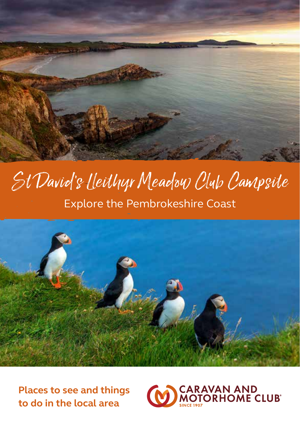

# St David 's Lleithyr Meadow Club Campsite Explore the Pembrokeshire Coast



**Places to see and things to do in the local area**

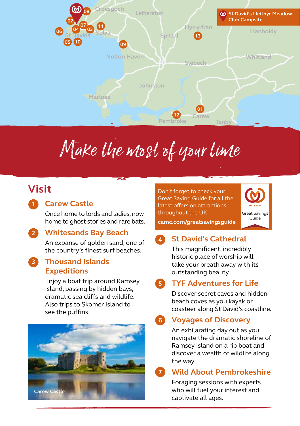

# Make the most of your time

## **Visit**

**1**

**2**

**3**

## **Carew Castle**

Once home to lords and ladies, now home to ghost stories and rare bats.

## **Whitesands Bay Beach**

An expanse of golden sand, one of the country's finest surf beaches.

### **Thousand Islands Expeditions**

Enjoy a boat trip around Ramsey Island, passing by hidden bays, dramatic sea cliffs and wildlife. Also trips to Skomer Island to see the puffins.



Don't forget to check your Great Saving Guide for all the latest offers on attractions throughout the UK.



## **camc.com/greatsavingsguide**

#### **St David's Cathedral 4**

This magnificent, incredibly historic place of worship will take your breath away with its outstanding beauty.

#### **TYF Adventures for Life 5**

Discover secret caves and hidden beach coves as you kayak or coasteer along St David's coastline.

#### **Voyages of Discovery 6**

An exhilarating day out as you navigate the dramatic shoreline of Ramsey Island on a rib boat and discover a wealth of wildlife along the way.

#### **Wild About Pembrokeshire 7**

Foraging sessions with experts who will fuel your interest and captivate all ages.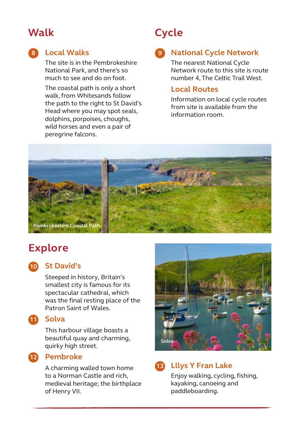## **Walk**

## **Local Walks 8 9**

The site is in the Pembrokeshire National Park, and there's so much to see and do on foot.

The coastal path is only a short walk, from Whitesands follow the path to the right to St David's Head where you may spot seals, dolphins, porpoises, choughs, wild horses and even a pair of peregrine falcons.

## **Cycle**

## **National Cycle Network**

The nearest National Cycle Network route to this site is route number 4, The Celtic Trail West.

### **Local Routes**

Information on local cycle routes from site is available from the information room.



## **Explore**

## **St David's 10**

Steeped in history, Britain's smallest city is famous for its spectacular cathedral, which was the final resting place of the Patron Saint of Wales.

## 11 Solva

This harbour village boasts a beautiful quay and charming, quirky high street.

## 12 Pembroke

A charming walled town home to a Norman Castle and rich, medieval heritage; the birthplace of Henry VII.



## **Lllys Y Fran Lake 13**

Enjoy walking, cycling, fishing, kayaking, canoeing and paddleboarding.